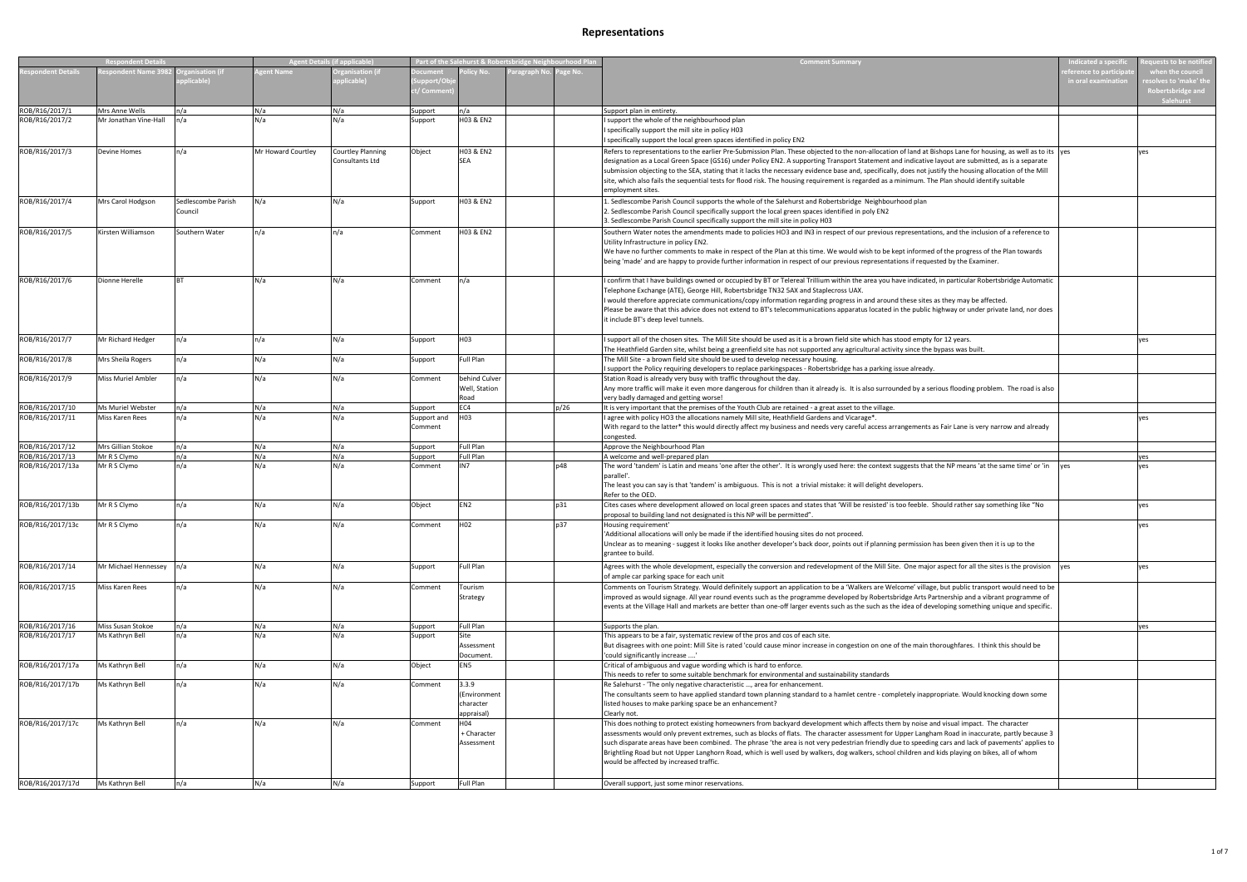| <b>Respondent Details</b> |                           |                               | <b>Agent Details (if applicable)</b> |                                             | Part of the Salehurst & Robertsbridge Neighbourhood Plan |                                                  |              |         | <b>Comment Summary</b>                                                                                                                                                                                                                                                                                                                                                                                                                                                                                                                                                                                                                                   | <b>Indicated a specifi</b><br>auests to be notific |                                                                                          |
|---------------------------|---------------------------|-------------------------------|--------------------------------------|---------------------------------------------|----------------------------------------------------------|--------------------------------------------------|--------------|---------|----------------------------------------------------------------------------------------------------------------------------------------------------------------------------------------------------------------------------------------------------------------------------------------------------------------------------------------------------------------------------------------------------------------------------------------------------------------------------------------------------------------------------------------------------------------------------------------------------------------------------------------------------------|----------------------------------------------------|------------------------------------------------------------------------------------------|
| ondent Details            | espondent Name 398        | zanisation (if<br>plicable)   | <b>zent Name</b>                     | rganisation (if<br>plicable)                | ocumen<br>upport/O<br>:/ Comm                            | licy No.                                         | aragraph No. | age No. |                                                                                                                                                                                                                                                                                                                                                                                                                                                                                                                                                                                                                                                          | ference to participa<br>in oral examinatior        | when the council<br>solves to 'make' th:<br>Robertsbridge an <mark>c</mark><br>Salehurst |
| ROB/R16/2017/1            | Mrs Anne Wells            | n/a                           | N/a                                  | N/a                                         | Support                                                  | n/a                                              |              |         | Support plan in entirety.                                                                                                                                                                                                                                                                                                                                                                                                                                                                                                                                                                                                                                |                                                    |                                                                                          |
| ROB/R16/2017/2            | Mr Jonathan Vine-Hall     | n/a                           | N/a                                  | N/a                                         | Support                                                  | H03 & EN2                                        |              |         | I support the whole of the neighbourhood plan<br>I specifically support the mill site in policy H03<br>I specifically support the local green spaces identified in policy EN2                                                                                                                                                                                                                                                                                                                                                                                                                                                                            |                                                    |                                                                                          |
| ROB/R16/2017/3            | <b>Devine Homes</b>       | n/a                           | Mr Howard Courtley                   | <b>Courtley Planning</b><br>Consultants Ltd | Object                                                   | H03 & EN2<br><b>SEA</b>                          |              |         | Refers to representations to the earlier Pre-Submission Plan. These objected to the non-allocation of land at Bishops Lane for housing, as well as to its yes<br>designation as a Local Green Space (GS16) under Policy EN2. A supporting Transport Statement and indicative layout are submitted, as is a separate<br>submission objecting to the SEA, stating that it lacks the necessary evidence base and, specifically, does not justify the housing allocation of the Mill<br>site, which also fails the sequential tests for flood risk. The housing requirement is regarded as a minimum. The Plan should identify suitable<br>employment sites. |                                                    | ves                                                                                      |
| ROB/R16/2017/4            | Mrs Carol Hodgson         | Sedlescombe Parish<br>Council | N/a                                  | N/a                                         | Support                                                  | H03 & EN2                                        |              |         | 1. Sedlescombe Parish Council supports the whole of the Salehurst and Robertsbridge Neighbourhood plan<br>2. Sedlescombe Parish Council specifically support the local green spaces identified in poly EN2<br>3. Sedlescombe Parish Council specifically support the mill site in policy H03                                                                                                                                                                                                                                                                                                                                                             |                                                    |                                                                                          |
| ROB/R16/2017/5            | Kirsten Williamson        | Southern Water                | n/a                                  | n/a                                         | Comment                                                  | H03 & EN2                                        |              |         | Southern Water notes the amendments made to policies HO3 and IN3 in respect of our previous representations, and the inclusion of a reference to<br>Utility Infrastructure in policy EN2.<br>We have no further comments to make in respect of the Plan at this time. We would wish to be kept informed of the progress of the Plan towards<br>being 'made' and are happy to provide further information in respect of our previous representations if requested by the Examiner.                                                                                                                                                                        |                                                    |                                                                                          |
| ROB/R16/2017/6            | Dionne Herelle            | <b>BT</b>                     | N/a                                  | N/a                                         | Comment                                                  | n/a                                              |              |         | I confirm that I have buildings owned or occupied by BT or Telereal Trillium within the area you have indicated, in particular Robertsbridge Automatic<br>Telephone Exchange (ATE), George Hill, Robertsbridge TN32 5AX and Staplecross UAX.<br>I would therefore appreciate communications/copy information regarding progress in and around these sites as they may be affected.<br>Please be aware that this advice does not extend to BT's telecommunications apparatus located in the public highway or under private land, nor does<br>it include BT's deep level tunnels.                                                                         |                                                    |                                                                                          |
| ROB/R16/2017/7            | Mr Richard Hedger         | n/a                           | n/a                                  | N/a                                         | Support                                                  | H03                                              |              |         | I support all of the chosen sites. The Mill Site should be used as it is a brown field site which has stood empty for 12 years.<br>The Heathfield Garden site, whilst being a greenfield site has not supported any agricultural activity since the bypass was built                                                                                                                                                                                                                                                                                                                                                                                     |                                                    | yes                                                                                      |
| ROB/R16/2017/8            | Mrs Sheila Rogers         | n/a                           | N/a                                  | N/a                                         | Support                                                  | <b>Full Plan</b>                                 |              |         | The Mill Site - a brown field site should be used to develop necessary housing.<br>I support the Policy requiring developers to replace parkingspaces - Robertsbridge has a parking issue already.                                                                                                                                                                                                                                                                                                                                                                                                                                                       |                                                    |                                                                                          |
| ROB/R16/2017/9            | <b>Miss Muriel Ambler</b> | n/a                           | N/a                                  | N/a                                         | Comment                                                  | behind Culver<br>Well, Station<br>Road           |              |         | Station Road is already very busy with traffic throughout the day.<br>Any more traffic will make it even more dangerous for children than it already is. It is also surrounded by a serious flooding problem. The road is also<br>very badly damaged and getting worse!                                                                                                                                                                                                                                                                                                                                                                                  |                                                    |                                                                                          |
| ROB/R16/2017/10           | Ms Muriel Webster         | n/a                           | N/a                                  | N/a                                         | Support                                                  | EC4                                              |              | p/26    | It is very important that the premises of the Youth Club are retained - a great asset to the village.                                                                                                                                                                                                                                                                                                                                                                                                                                                                                                                                                    |                                                    |                                                                                          |
| ROB/R16/2017/11           | Miss Karen Rees           | n/a                           | N/a                                  | N/a                                         | Support and<br>Comment                                   | H <sub>03</sub>                                  |              |         | I agree with policy HO3 the allocations namely Mill site, Heathfield Gardens and Vicarage*.<br>With regard to the latter* this would directly affect my business and needs very careful access arrangements as Fair Lane is very narrow and already<br>congested.                                                                                                                                                                                                                                                                                                                                                                                        |                                                    | ves                                                                                      |
| ROB/R16/2017/12           | Mrs Gillian Stokoe        | n/a                           | N/a                                  | N/a                                         | Support                                                  | <b>Full Plan</b>                                 |              |         | Approve the Neighbourhood Plan                                                                                                                                                                                                                                                                                                                                                                                                                                                                                                                                                                                                                           |                                                    |                                                                                          |
| ROB/R16/2017/13           | Mr R S Clymo              | n/a                           | N/a                                  | N/a                                         | Support                                                  | <b>Full Plan</b>                                 |              |         | A welcome and well-prepared plan                                                                                                                                                                                                                                                                                                                                                                                                                                                                                                                                                                                                                         |                                                    | ves                                                                                      |
| ROB/R16/2017/13a          | Mr R S Clymo              | n/a                           | N/a                                  | N/a                                         | Comment                                                  | IN7                                              |              | p48     | The word 'tandem' is Latin and means 'one after the other'. It is wrongly used here: the context suggests that the NP means 'at the same time' or 'in wes<br>parallel'.<br>The least you can say is that 'tandem' is ambiguous. This is not a trivial mistake: it will delight developers.<br>Refer to the OED.                                                                                                                                                                                                                                                                                                                                          |                                                    | ves                                                                                      |
| ROB/R16/2017/13b          | Mr R S Clymo              | n/a                           | N/a                                  | N/a                                         | Object                                                   | EN <sub>2</sub>                                  |              | p31     | Cites cases where development allowed on local green spaces and states that 'Will be resisted' is too feeble. Should rather say something like "No<br>proposal to building land not designated is this NP will be permitted"                                                                                                                                                                                                                                                                                                                                                                                                                             |                                                    | yes                                                                                      |
| ROB/R16/2017/13c          | Mr R S Clymo              | n/a                           |                                      | N/a                                         | Comment                                                  | H <sub>02</sub>                                  |              | n37     | Housing requirement'<br>'Additional allocations will only be made if the identified housing sites do not proceed.<br>Unclear as to meaning - suggest it looks like another developer's back door, points out if planning permission has been given then it is up to the<br>grantee to build.                                                                                                                                                                                                                                                                                                                                                             |                                                    |                                                                                          |
| ROB/R16/2017/14           | Mr Michael Hennessey n/a  |                               | N/a                                  | N/a                                         | Support                                                  | <b>Full Plan</b>                                 |              |         | Agrees with the whole development, especially the conversion and redevelopment of the Mill Site. One major aspect for all the sites is the provision yes<br>of ample car parking space for each unit                                                                                                                                                                                                                                                                                                                                                                                                                                                     |                                                    | yes                                                                                      |
| ROB/R16/2017/15           | Miss Karen Rees           | n/a                           | N/a                                  | N/a                                         | Comment                                                  | Tourism<br>Strategy                              |              |         | Comments on Tourism Strategy. Would definitely support an application to be a 'Walkers are Welcome' village, but public transport would need to be<br>improved as would signage. All year round events such as the programme developed by Robertsbridge Arts Partnership and a vibrant programme of<br>events at the Village Hall and markets are better than one-off larger events such as the such as the idea of developing something unique and specific.                                                                                                                                                                                            |                                                    |                                                                                          |
| ROB/R16/2017/16           | Miss Susan Stokoe         | n/a                           | N/a                                  | N/a                                         | Support                                                  | <b>Full Plan</b>                                 |              |         | Supports the plan.                                                                                                                                                                                                                                                                                                                                                                                                                                                                                                                                                                                                                                       |                                                    | yes                                                                                      |
| ROB/R16/2017/17           | Ms Kathryn Bell           | n/a                           | N/a                                  | N/a                                         | Support                                                  | Site<br>Assessment<br>Document.                  |              |         | This appears to be a fair, systematic review of the pros and cos of each site.<br>But disagrees with one point: Mill Site is rated 'could cause minor increase in congestion on one of the main thoroughfares. I think this should be<br>'could significantly increase '                                                                                                                                                                                                                                                                                                                                                                                 |                                                    |                                                                                          |
| ROB/R16/2017/17a          | Ms Kathryn Bell           | n/a                           | N/a                                  | N/a                                         | Object                                                   | EN <sub>5</sub>                                  |              |         | Critical of ambiguous and vague wording which is hard to enforce.<br>This needs to refer to some suitable benchmark for environmental and sustainability standards                                                                                                                                                                                                                                                                                                                                                                                                                                                                                       |                                                    |                                                                                          |
| ROB/R16/2017/17b          | Ms Kathryn Bell           | n/a                           | N/a                                  | N/a                                         | Comment                                                  | 3.3.9<br>(Environment<br>character<br>appraisal) |              |         | Re Salehurst - 'The only negative characteristic , area for enhancement.<br>The consultants seem to have applied standard town planning standard to a hamlet centre - completely inappropriate. Would knocking down some<br>listed houses to make parking space be an enhancement?<br>Clearly not.                                                                                                                                                                                                                                                                                                                                                       |                                                    |                                                                                          |
| ROB/R16/2017/17c          | Ms Kathryn Bell           | n/a                           | N/a                                  | N/a                                         | Comment                                                  | H04<br>+ Character<br>Assessment                 |              |         | This does nothing to protect existing homeowners from backyard development which affects them by noise and visual impact. The character<br>assessments would only prevent extremes, such as blocks of flats. The character assessment for Upper Langham Road in inaccurate, partly because 3<br>such disparate areas have been combined. The phrase 'the area is not very pedestrian friendly due to speeding cars and lack of pavements' applies to<br>Brightling Road but not Upper Langhorn Road, which is well used by walkers, dog walkers, school children and kids playing on bikes, all of whom<br>would be affected by increased traffic.       |                                                    |                                                                                          |
| ROB/R16/2017/17d          | Ms Kathryn Bell           | n/a                           | N/a                                  | N/a                                         | Support                                                  | <b>Full Plan</b>                                 |              |         | Overall support, just some minor reservations.                                                                                                                                                                                                                                                                                                                                                                                                                                                                                                                                                                                                           |                                                    |                                                                                          |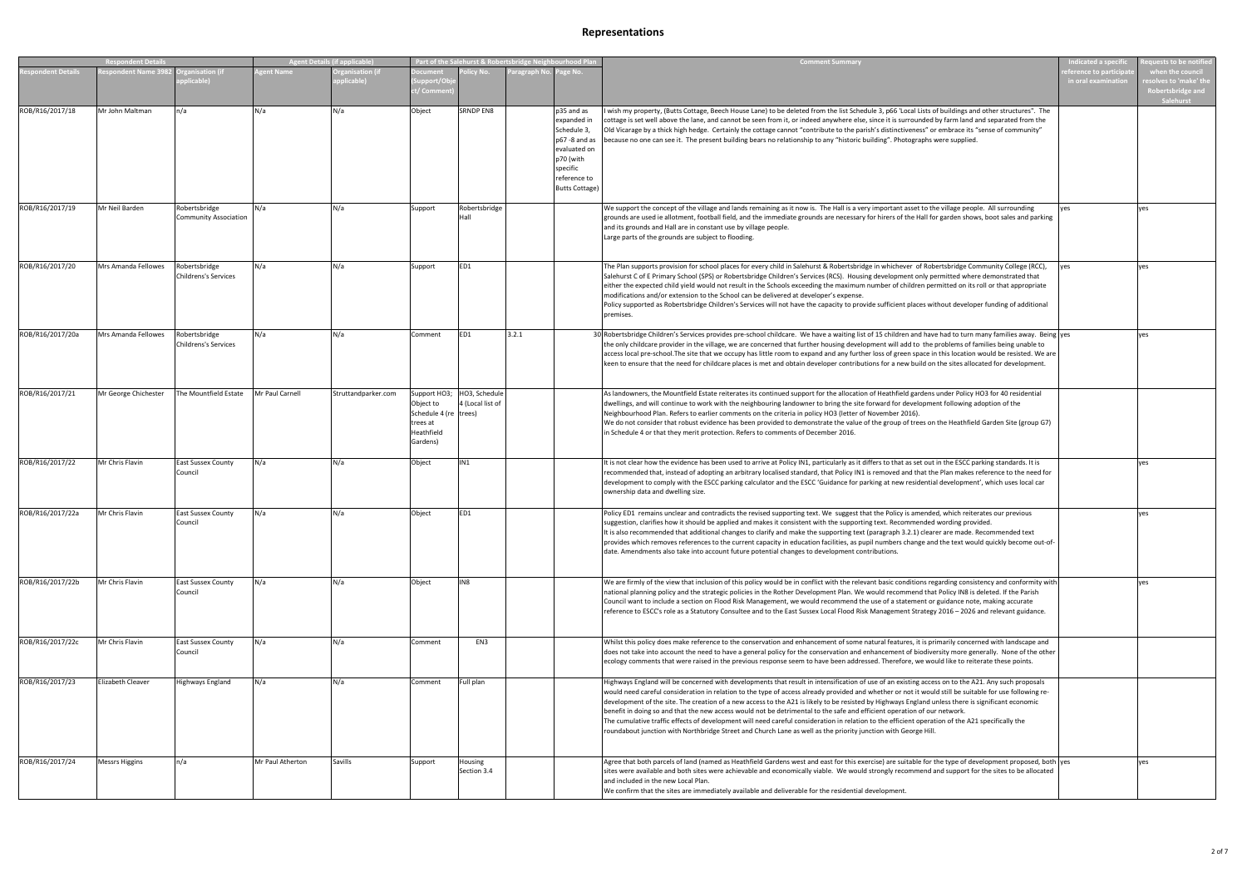| <b>Respondent Detai</b> |                       | <b>Agent Details (if applicable)</b>          |                  | Part of the Salehurst & Robertsbridge Neighbourhood Plar |                                                                          |                                                |             | <b>Comment Summary</b>                                                                                                                     | ndicated a specifi                                                                                                                                                                                                                                                                                                                                                                                                                                                                                                                                                                                                                                                                                                                                                                                                                                                    | uests to be notifie                        |                                                                            |
|-------------------------|-----------------------|-----------------------------------------------|------------------|----------------------------------------------------------|--------------------------------------------------------------------------|------------------------------------------------|-------------|--------------------------------------------------------------------------------------------------------------------------------------------|-----------------------------------------------------------------------------------------------------------------------------------------------------------------------------------------------------------------------------------------------------------------------------------------------------------------------------------------------------------------------------------------------------------------------------------------------------------------------------------------------------------------------------------------------------------------------------------------------------------------------------------------------------------------------------------------------------------------------------------------------------------------------------------------------------------------------------------------------------------------------|--------------------------------------------|----------------------------------------------------------------------------|
| <b>ondent Details</b>   | spondent Name 3982    | anisation (if<br>blicable)                    | ent Name         | rganisation (if<br>pplicable)                            | ocument<br>upport/Ol<br>/ Comm                                           | plicy No.                                      | aragraph No | age No.                                                                                                                                    |                                                                                                                                                                                                                                                                                                                                                                                                                                                                                                                                                                                                                                                                                                                                                                                                                                                                       | erence to participa<br>in oral examination | when the council<br>esolves to 'make' th<br>Robertsbridge and<br>Salehurst |
| ROB/R16/2017/18         | Mr John Maltman       | n/a                                           | N/a              | N/a                                                      | Object                                                                   | <b>SRNDP EN8</b>                               |             | p35 and as<br>expanded in<br>Schedule 3,<br>p67 -8 and as<br>evaluated on<br>p70 (with<br>specific<br>reference to<br><b>Butts Cottage</b> | wish my property, (Butts Cottage, Beech House Lane) to be deleted from the list Schedule 3, p66 'Local Lists of buildings and other structures". The<br>cottage is set well above the lane, and cannot be seen from it, or indeed anywhere else, since it is surrounded by farm land and separated from the<br>Old Vicarage by a thick high hedge. Certainly the cottage cannot "contribute to the parish's distinctiveness" or embrace its "sense of community"<br>because no one can see it. The present building bears no relationship to any "historic building". Photographs were supplied.                                                                                                                                                                                                                                                                      |                                            |                                                                            |
| ROB/R16/2017/19         | Mr Neil Barden        | Robertsbridge<br><b>Community Association</b> | N/a              | N/a                                                      | Support                                                                  | Robertsbridge<br>Hall                          |             |                                                                                                                                            | We support the concept of the village and lands remaining as it now is. The Hall is a very important asset to the village people. All surrounding<br>grounds are used ie allotment, football field, and the immediate grounds are necessary for hirers of the Hall for garden shows, boot sales and parking<br>and its grounds and Hall are in constant use by village people.<br>Large parts of the grounds are subject to flooding.                                                                                                                                                                                                                                                                                                                                                                                                                                 | yes                                        | yes                                                                        |
| ROB/R16/2017/20         | Mrs Amanda Fellowes   | Robertsbridge<br><b>Childrens's Services</b>  | N/a              | N/a                                                      | Support                                                                  | ED1                                            |             |                                                                                                                                            | The Plan supports provision for school places for every child in Salehurst & Robertsbridge in whichever of Robertsbridge Community College (RCC),<br>Salehurst C of E Primary School (SPS) or Robertsbridge Children's Services (RCS). Housing development only permitted where demonstrated that<br>either the expected child yield would not result in the Schools exceeding the maximum number of children permitted on its roll or that appropriate<br>modifications and/or extension to the School can be delivered at developer's expense.<br>Policy supported as Robertsbridge Children's Services will not have the capacity to provide sufficient places without developer funding of additional<br>premises.                                                                                                                                                | yes                                        | yes                                                                        |
| ROB/R16/2017/20a        | Mrs Amanda Fellowes   | Robertsbridge<br><b>Childrens's Services</b>  | N/a              | N/a                                                      | Comment                                                                  | ED1                                            | 3.2.1       |                                                                                                                                            | 30 Robertsbridge Children's Services provides pre-school childcare. We have a waiting list of 15 children and have had to turn many families away. Being yes<br>the only childcare provider in the village, we are concerned that further housing development will add to the problems of families being unable to<br>access local pre-school. The site that we occupy has little room to expand and any further loss of green space in this location would be resisted. We are<br>keen to ensure that the need for childcare places is met and obtain developer contributions for a new build on the sites allocated for development.                                                                                                                                                                                                                                |                                            | yes                                                                        |
| ROB/R16/2017/21         | Mr George Chichester  | The Mountfield Estate                         | Mr Paul Carnell  | Struttandparker.com                                      | Object to<br>Schedule 4 (re trees)<br>trees at<br>Heathfield<br>Gardens) | Support HO3; HO3, Schedule<br>4 (Local list of |             |                                                                                                                                            | As landowners, the Mountfield Estate reiterates its continued support for the allocation of Heathfield gardens under Policy HO3 for 40 residential<br>dwellings, and will continue to work with the neighbouring landowner to bring the site forward for development following adoption of the<br>Neighbourhood Plan. Refers to earlier comments on the criteria in policy HO3 (letter of November 2016).<br>We do not consider that robust evidence has been provided to demonstrate the value of the group of trees on the Heathfield Garden Site (group G7)<br>in Schedule 4 or that they merit protection. Refers to comments of December 2016.                                                                                                                                                                                                                   |                                            |                                                                            |
| ROB/R16/2017/22         | Mr Chris Flavin       | <b>East Sussex County</b><br>Council          | N/a              | N/a                                                      | Object                                                                   | IN1                                            |             |                                                                                                                                            | It is not clear how the evidence has been used to arrive at Policy IN1, particularly as it differs to that as set out in the ESCC parking standards. It is<br>recommended that, instead of adopting an arbitrary localised standard, that Policy IN1 is removed and that the Plan makes reference to the need for<br>development to comply with the ESCC parking calculator and the ESCC 'Guidance for parking at new residential development', which uses local car<br>ownership data and dwelling size.                                                                                                                                                                                                                                                                                                                                                             |                                            | yes                                                                        |
| ROB/R16/2017/22a        | Mr Chris Flavin       | <b>East Sussex County</b><br>Council          | N/a              | N/a                                                      | Object                                                                   | ED1                                            |             |                                                                                                                                            | Policy ED1 remains unclear and contradicts the revised supporting text. We suggest that the Policy is amended, which reiterates our previous<br>suggestion, clarifies how it should be applied and makes it consistent with the supporting text. Recommended wording provided<br>It is also recommended that additional changes to clarify and make the supporting text (paragraph 3.2.1) clearer are made. Recommended text<br>provides which removes references to the current capacity in education facilities, as pupil numbers change and the text would quickly become out-of-<br>date. Amendments also take into account future potential changes to development contributions.                                                                                                                                                                                |                                            | yes                                                                        |
| ROB/R16/2017/22b        | Mr Chris Flavin       | <b>East Sussex County</b><br>Council          | N/a              | N/a                                                      | Object                                                                   | IN8                                            |             |                                                                                                                                            | We are firmly of the view that inclusion of this policy would be in conflict with the relevant basic conditions regarding consistency and conformity with<br>national planning policy and the strategic policies in the Rother Development Plan. We would recommend that Policy IN8 is deleted. If the Parish<br>Council want to include a section on Flood Risk Management, we would recommend the use of a statement or guidance note, making accurate<br>reference to ESCC's role as a Statutory Consultee and to the East Sussex Local Flood Risk Management Strategy 2016 - 2026 and relevant guidance.                                                                                                                                                                                                                                                          |                                            | yes                                                                        |
| ROB/R16/2017/22c        | Mr Chris Flavin       | <b>East Sussex County</b><br>Council          | N/a              | N/a                                                      | Comment                                                                  | EN3                                            |             |                                                                                                                                            | Whilst this policy does make reference to the conservation and enhancement of some natural features, it is primarily concerned with landscape and<br>does not take into account the need to have a general policy for the conservation and enhancement of biodiversity more generally. None of the other<br>ecology comments that were raised in the previous response seem to have been addressed. Therefore, we would like to reiterate these points.                                                                                                                                                                                                                                                                                                                                                                                                               |                                            |                                                                            |
| ROB/R16/2017/23         | Elizabeth Cleaver     | Highways England                              | N/a              | N/a                                                      | Comment                                                                  | Full plan                                      |             |                                                                                                                                            | Highways England will be concerned with developments that result in intensification of use of an existing access on to the A21. Any such proposals<br>would need careful consideration in relation to the type of access already provided and whether or not it would still be suitable for use following re-<br>development of the site. The creation of a new access to the A21 is likely to be resisted by Highways England unless there is significant economic<br>benefit in doing so and that the new access would not be detrimental to the safe and efficient operation of our network.<br>The cumulative traffic effects of development will need careful consideration in relation to the efficient operation of the A21 specifically the<br>roundabout junction with Northbridge Street and Church Lane as well as the priority junction with George Hill. |                                            |                                                                            |
| ROB/R16/2017/24         | <b>Messrs Higgins</b> | n/a                                           | Mr Paul Atherton | Savills                                                  | Support                                                                  | Housing<br>Section 3.4                         |             |                                                                                                                                            | Agree that both parcels of land (named as Heathfield Gardens west and east for this exercise) are suitable for the type of development proposed, both ves<br>sites were available and both sites were achievable and economically viable. We would strongly recommend and support for the sites to be allocated<br>and included in the new Local Plan.<br>We confirm that the sites are immediately available and deliverable for the residential development.                                                                                                                                                                                                                                                                                                                                                                                                        |                                            | yes                                                                        |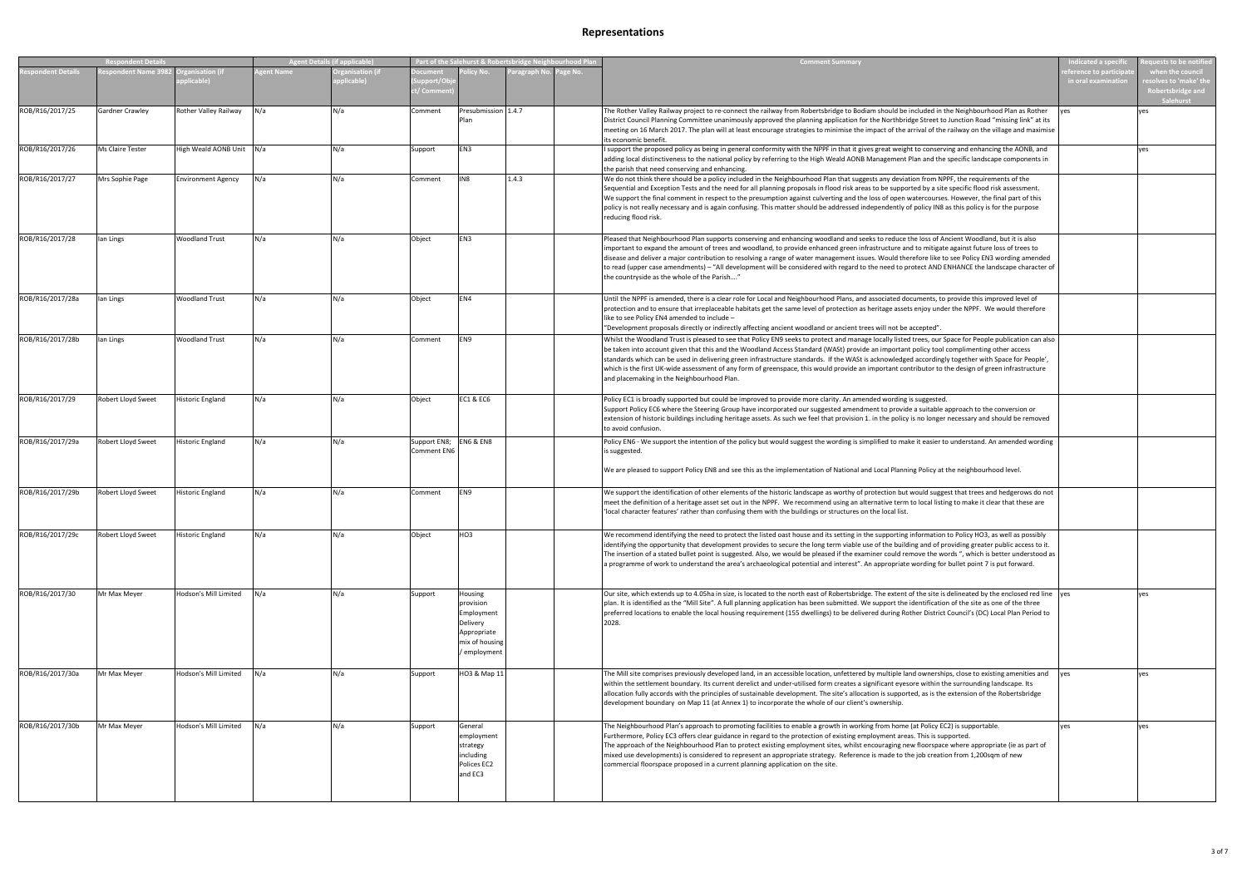|                  | <b>Respondent Detai</b> |                           |           | gent Details (if applicable) |                                    |                                                                                                 | Part of the Salehurst & Robertsbridge Neighbourhood Plan |         | <b>Comment Summary</b>                                                                                                                                                                                                                                                                                                                                                                                                                                                                                                                                                                                                                                         | dicated a specif                         | uests to be notified                                                      |
|------------------|-------------------------|---------------------------|-----------|------------------------------|------------------------------------|-------------------------------------------------------------------------------------------------|----------------------------------------------------------|---------|----------------------------------------------------------------------------------------------------------------------------------------------------------------------------------------------------------------------------------------------------------------------------------------------------------------------------------------------------------------------------------------------------------------------------------------------------------------------------------------------------------------------------------------------------------------------------------------------------------------------------------------------------------------|------------------------------------------|---------------------------------------------------------------------------|
| ondent Details   | spondent Name 3982      | licable)                  | gent Name | ganisation (it<br>licable)   | ocument<br>upport/Ol<br>/ Comme    | licy No.                                                                                        | aragraph N                                               | age No. |                                                                                                                                                                                                                                                                                                                                                                                                                                                                                                                                                                                                                                                                | erence to particip<br>in oral examinatio | when the council<br>solves to 'make' the<br>Robertsbridge and<br>alehurst |
| ROB/R16/2017/25  | <b>Gardner Crawley</b>  | Rother Valley Railway     | N/a       | N/a                          | Comment                            | Presubmission 1.4.7<br>Plan                                                                     |                                                          |         | The Rother Valley Railway project to re-connect the railway from Robertsbridge to Bodiam should be included in the Neighbourhood Plan as Rother<br>District Council Planning Committee unanimously approved the planning application for the Northbridge Street to Junction Road "missing link" at its<br>meeting on 16 March 2017. The plan will at least encourage strategies to minimise the impact of the arrival of the railway on the village and maximise<br>its economic benefit.                                                                                                                                                                      |                                          | ves                                                                       |
| ROB/R16/2017/26  | Ms Claire Tester        | High Weald AONB Unit N/a  |           | N/a                          | Support                            | EN3                                                                                             |                                                          |         | support the proposed policy as being in general conformity with the NPPF in that it gives great weight to conserving and enhancing the AONB, and<br>adding local distinctiveness to the national policy by referring to the High Weald AONB Management Plan and the specific landscape components in<br>the parish that need conserving and enhancing.                                                                                                                                                                                                                                                                                                         |                                          | ves                                                                       |
| ROB/R16/2017/27  | Mrs Sophie Page         | <b>Environment Agency</b> | N/a       | N/a                          | Comment                            | IN8                                                                                             | 1.4.3                                                    |         | We do not think there should be a policy included in the Neighbourhood Plan that suggests any deviation from NPPF, the requirements of the<br>Sequential and Exception Tests and the need for all planning proposals in flood risk areas to be supported by a site specific flood risk assessment.<br>We support the final comment in respect to the presumption against culverting and the loss of open watercourses. However, the final part of this<br>policy is not really necessary and is again confusing. This matter should be addressed independently of policy IN8 as this policy is for the purpose<br>reducing flood risk.                         |                                          |                                                                           |
| ROB/R16/2017/28  | lan Lings               | <b>Woodland Trust</b>     | N/a       | N/a                          | Object                             | EN3                                                                                             |                                                          |         | Pleased that Neighbourhood Plan supports conserving and enhancing woodland and seeks to reduce the loss of Ancient Woodland, but it is also<br>important to expand the amount of trees and woodland, to provide enhanced green infrastructure and to mitigate against future loss of trees to<br>disease and deliver a major contribution to resolving a range of water management issues. Would therefore like to see Policy EN3 wording amended<br>to read (upper case amendments) - "All development will be considered with regard to the need to protect AND ENHANCE the landscape character of<br>the countryside as the whole of the Parish"            |                                          |                                                                           |
| ROB/R16/2017/28a | lan Lings               | <b>Woodland Trust</b>     | N/a       | N/a                          | Object                             | EN4                                                                                             |                                                          |         | Until the NPPF is amended, there is a clear role for Local and Neighbourhood Plans, and associated documents, to provide this improved level of<br>protection and to ensure that irreplaceable habitats get the same level of protection as heritage assets enjoy under the NPPF. We would therefore<br>like to see Policy EN4 amended to include -<br>"Development proposals directly or indirectly affecting ancient woodland or ancient trees will not be accepted".                                                                                                                                                                                        |                                          |                                                                           |
| ROB/R16/2017/28b | lan Lings               | <b>Woodland Trust</b>     | N/a       | N/a                          | Comment                            | EN9                                                                                             |                                                          |         | Whilst the Woodland Trust is pleased to see that Policy EN9 seeks to protect and manage locally listed trees, our Space for People publication can also<br>be taken into account given that this and the Woodland Access Standard (WASt) provide an important policy tool complimenting other access<br>standards which can be used in delivering green infrastructure standards. If the WASt is acknowledged accordingly together with Space for People',<br>which is the first UK-wide assessment of any form of greenspace, this would provide an important contributor to the design of green infrastructure<br>and placemaking in the Neighbourhood Plan. |                                          |                                                                           |
| ROB/R16/2017/29  | Robert Lloyd Sweet      | <b>Historic England</b>   | N/a       | N/a                          | Object                             | <b>EC1 &amp; EC6</b>                                                                            |                                                          |         | Policy EC1 is broadly supported but could be improved to provide more clarity. An amended wording is suggested.<br>Support Policy EC6 where the Steering Group have incorporated our suggested amendment to provide a suitable approach to the conversion or<br>extension of historic buildings including heritage assets. As such we feel that provision 1. in the policy is no longer necessary and should be removed<br>to avoid confusion.                                                                                                                                                                                                                 |                                          |                                                                           |
| ROB/R16/2017/29a | Robert Lloyd Sweet      | <b>Historic England</b>   | N/a       | N/a                          | Support EN8;<br><b>Comment EN6</b> | <b>EN6 &amp; EN8</b>                                                                            |                                                          |         | Policy EN6 - We support the intention of the policy but would suggest the wording is simplified to make it easier to understand. An amended wording<br>is suggested.<br>We are pleased to support Policy EN8 and see this as the implementation of National and Local Planning Policy at the neighbourhood level.                                                                                                                                                                                                                                                                                                                                              |                                          |                                                                           |
| ROB/R16/2017/29b | Robert Lloyd Sweet      | <b>Historic England</b>   | N/a       | N/a                          | Comment                            | EN9                                                                                             |                                                          |         | We support the identification of other elements of the historic landscape as worthy of protection but would suggest that trees and hedgerows do not<br>meet the definition of a heritage asset set out in the NPPF. We recommend using an alternative term to local listing to make it clear that these are<br>'local character features' rather than confusing them with the buildings or structures on the local list.                                                                                                                                                                                                                                       |                                          |                                                                           |
| ROB/R16/2017/29c | Robert Lloyd Sweet      | <b>Historic England</b>   | N/a       | N/a                          | Object                             | HO <sub>3</sub>                                                                                 |                                                          |         | We recommend identifying the need to protect the listed oast house and its setting in the supporting information to Policy HO3, as well as possibly<br>identifying the opportunity that development provides to secure the long term viable use of the building and of providing greater public access to it.<br>The insertion of a stated bullet point is suggested. Also, we would be pleased if the examiner could remove the words ", which is better understood as<br>a programme of work to understand the area's archaeological potential and interest". An appropriate wording for bullet point 7 is put forward.                                      |                                          |                                                                           |
| ROB/R16/2017/30  | Mr Max Meyer            | Hodson's Mill Limited     | N/a       | N/a                          | Support                            | Housing<br>provision<br>Employment<br>Delivery<br>Appropriate<br>mix of housing<br>' employment |                                                          |         | Our site, which extends up to 4.05ha in size, is located to the north east of Robertsbridge. The extent of the site is delineated by the enclosed red line yes<br>plan. It is identified as the "Mill Site". A full planning application has been submitted. We support the identification of the site as one of the three<br>preferred locations to enable the local housing requirement (155 dwellings) to be delivered during Rother District Council's (DC) Local Plan Period to<br>2028.                                                                                                                                                                  |                                          | ves                                                                       |
| ROB/R16/2017/30a | Mr Max Meyer            | Hodson's Mill Limited     | N/a       | N/a                          | Support                            | HO3 & Map 11                                                                                    |                                                          |         | The Mill site comprises previously developed land, in an accessible location, unfettered by multiple land ownerships, close to existing amenities and<br>within the settlement boundary. Its current derelict and under-utilised form creates a significant eyesore within the surrounding landscape. Its<br>allocation fully accords with the principles of sustainable development. The site's allocation is supported, as is the extension of the Robertsbridge<br>development boundary on Map 11 (at Annex 1) to incorporate the whole of our client's ownership.                                                                                          |                                          | ves                                                                       |
| ROB/R16/2017/30b | Mr Max Meyer            | Hodson's Mill Limited     | N/a       | N/a                          | Support                            | General<br>employment<br>strategy<br>including<br>Polices EC2<br>and EC3                        |                                                          |         | The Neighbourhood Plan's approach to promoting facilities to enable a growth in working from home (at Policy EC2) is supportable.<br>Furthermore, Policy EC3 offers clear guidance in regard to the protection of existing employment areas. This is supported.<br>The approach of the Neighbourhood Plan to protect existing employment sites, whilst encouraging new floorspace where appropriate (ie as part of<br>mixed use developments) is considered to represent an appropriate strategy. Reference is made to the job creation from 1,200sqm of new<br>commercial floorspace proposed in a current planning application on the site.                  | ves                                      | ves                                                                       |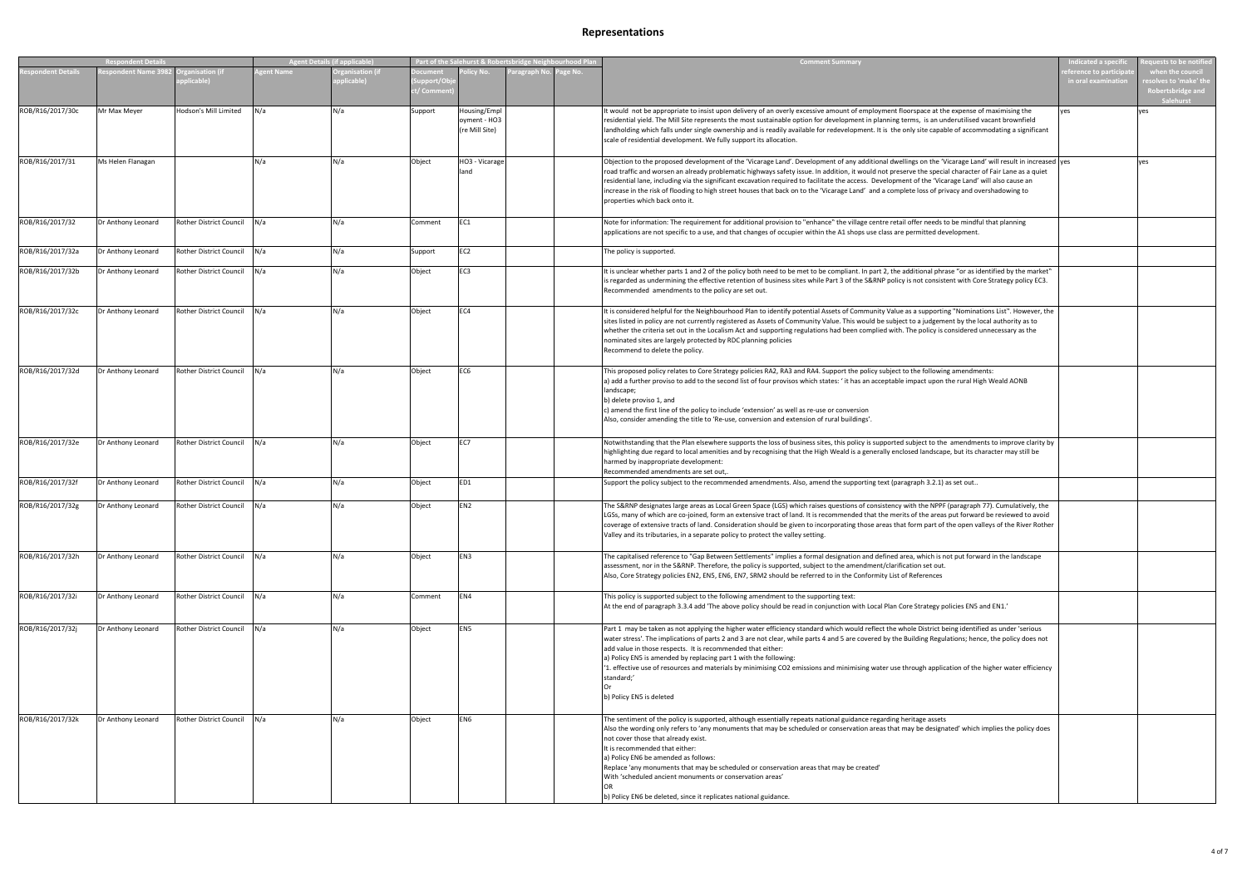|                  | <b>Respondent Details</b> |                                |           | <b>Agent Details (if applicable)</b> |                                           | Part of the Salehurst & Robertsbridge Neighbourhood Plan |          | <b>Comment Summary</b>                                                                                                                                                                                                                                                                                                                                                                                                                                                                                                                                                                                                                                          | ndicated a specifi                        | quests to be notified                                                             |
|------------------|---------------------------|--------------------------------|-----------|--------------------------------------|-------------------------------------------|----------------------------------------------------------|----------|-----------------------------------------------------------------------------------------------------------------------------------------------------------------------------------------------------------------------------------------------------------------------------------------------------------------------------------------------------------------------------------------------------------------------------------------------------------------------------------------------------------------------------------------------------------------------------------------------------------------------------------------------------------------|-------------------------------------------|-----------------------------------------------------------------------------------|
| spondent Details | espondent Name 3982 O     | ganisation (if<br>plicable)    | gent Name | <b>Organisation (if</b><br>plicable) | <b>Ocument</b><br>support/Ob<br>:/ Commei | olicy No.<br>'aragraph No                                | 'age No. |                                                                                                                                                                                                                                                                                                                                                                                                                                                                                                                                                                                                                                                                 | erence to participa<br>in oral examinatio | when the council<br>solves to 'make' the<br>Robertsbridge and<br><b>Salehurst</b> |
| ROB/R16/2017/30c | Mr Max Meyer              | Hodson's Mill Limited          | N/a       | N/a                                  | Support                                   | Housing/Empl<br>oyment - HO3<br>(re Mill Site)           |          | It would not be appropriate to insist upon delivery of an overly excessive amount of employment floorspace at the expense of maximising the<br>residential yield. The Mill Site represents the most sustainable option for development in planning terms, is an underutilised vacant brownfield<br>landholding which falls under single ownership and is readily available for redevelopment. It is the only site capable of accommodating a significant<br>scale of residential development. We fully support its allocation.                                                                                                                                  | ves                                       | es                                                                                |
| ROB/R16/2017/31  | Ms Helen Flanagan         |                                | N/a       | N/a                                  | Object                                    | HO3 - Vicarage<br>land                                   |          | Objection to the proposed development of the 'Vicarage Land'. Development of any additional dwellings on the 'Vicarage Land' will result in increased  yes<br>road traffic and worsen an already problematic highways safety issue. In addition, it would not preserve the special character of Fair Lane as a quiet<br>residential lane, including via the significant excavation required to facilitate the access. Development of the 'Vicarage Land' will also cause an<br>increase in the risk of flooding to high street houses that back on to the 'Vicarage Land' and a complete loss of privacy and overshadowing to<br>properties which back onto it. |                                           | ves                                                                               |
| ROB/R16/2017/32  | Dr Anthony Leonard        | Rother District Council        | N/a       | N/a                                  | Comment                                   | EC1                                                      |          | Note for information: The requirement for additional provision to "enhance" the village centre retail offer needs to be mindful that planning<br>applications are not specific to a use, and that changes of occupier within the A1 shops use class are permitted development.                                                                                                                                                                                                                                                                                                                                                                                  |                                           |                                                                                   |
| ROB/R16/2017/32a | Dr Anthony Leonard        | <b>Rother District Council</b> | N/a       | N/a                                  | Support                                   | EC <sub>2</sub>                                          |          | The policy is supported.                                                                                                                                                                                                                                                                                                                                                                                                                                                                                                                                                                                                                                        |                                           |                                                                                   |
| ROB/R16/2017/32b | Dr Anthony Leonard        | Rother District Council        | N/a       | N/a                                  | Object                                    | EC3                                                      |          | It is unclear whether parts 1 and 2 of the policy both need to be met to be compliant. In part 2, the additional phrase "or as identified by the market"<br>is regarded as undermining the effective retention of business sites while Part 3 of the S&RNP policy is not consistent with Core Strategy policy EC3.<br>Recommended amendments to the policy are set out.                                                                                                                                                                                                                                                                                         |                                           |                                                                                   |
| ROB/R16/2017/32c | Dr Anthony Leonard        | Rother District Council        | N/a       | N/a                                  | Object                                    | EC4                                                      |          | It is considered helpful for the Neighbourhood Plan to identify potential Assets of Community Value as a supporting "Nominations List". However, the<br>sites listed in policy are not currently registered as Assets of Community Value. This would be subject to a judgement by the local authority as to<br>whether the criteria set out in the Localism Act and supporting regulations had been complied with. The policy is considered unnecessary as the<br>nominated sites are largely protected by RDC planning policies<br>Recommend to delete the policy.                                                                                             |                                           |                                                                                   |
| ROB/R16/2017/32d | Dr Anthony Leonard        | Rother District Council        | N/a       | N/a                                  | Object                                    | EC <sub>6</sub>                                          |          | This proposed policy relates to Core Strategy policies RA2, RA3 and RA4. Support the policy subject to the following amendments:<br>a) add a further proviso to add to the second list of four provisos which states: 'it has an acceptable impact upon the rural High Weald AONB<br>landscape;<br>b) delete proviso 1, and<br>c) amend the first line of the policy to include 'extension' as well as re-use or conversion<br>Also, consider amending the title to 'Re-use, conversion and extension of rural buildings'.                                                                                                                                      |                                           |                                                                                   |
| ROB/R16/2017/32e | Dr Anthony Leonard        | Rother District Council        | N/a       | N/a                                  | Object                                    | EC7                                                      |          | Notwithstanding that the Plan elsewhere supports the loss of business sites, this policy is supported subject to the amendments to improve clarity by<br>highlighting due regard to local amenities and by recognising that the High Weald is a generally enclosed landscape, but its character may still be<br>harmed by inappropriate development:<br>Recommended amendments are set out,.                                                                                                                                                                                                                                                                    |                                           |                                                                                   |
| ROB/R16/2017/32f | Dr Anthony Leonard        | <b>Rother District Council</b> | N/a       | N/a                                  | Object                                    | ED1                                                      |          | Support the policy subject to the recommended amendments. Also, amend the supporting text (paragraph 3.2.1) as set out                                                                                                                                                                                                                                                                                                                                                                                                                                                                                                                                          |                                           |                                                                                   |
| ROB/R16/2017/32g | Dr Anthony Leonard        | Rother District Council        | N/a       | N/a                                  | Object                                    | EN <sub>2</sub>                                          |          | The S&RNP designates large areas as Local Green Space (LGS) which raises questions of consistency with the NPPF (paragraph 77). Cumulatively, the<br>LGSs, many of which are co-joined, form an extensive tract of land. It is recommended that the merits of the areas put forward be reviewed to avoid<br>coverage of extensive tracts of land. Consideration should be given to incorporating those areas that form part of the open valleys of the River Rother<br>Valley and its tributaries, in a separate policy to protect the valley setting.                                                                                                          |                                           |                                                                                   |
| ROB/R16/2017/32h | Dr Anthony Leonard        | Rother District Council        | N/a       | N/a                                  | Object                                    | EN3                                                      |          | The capitalised reference to "Gap Between Settlements" implies a formal designation and defined area, which is not put forward in the landscape<br>assessment, nor in the S&RNP. Therefore, the policy is supported, subject to the amendment/clarification set out.<br>Also, Core Strategy policies EN2, EN5, EN6, EN7, SRM2 should be referred to in the Conformity List of References                                                                                                                                                                                                                                                                        |                                           |                                                                                   |
| ROB/R16/2017/32i | Dr Anthony Leonard        | <b>Rother District Council</b> | N/a       | N/a                                  | Comment                                   | EN4                                                      |          | This policy is supported subject to the following amendment to the supporting text:<br>At the end of paragraph 3.3.4 add 'The above policy should be read in conjunction with Local Plan Core Strategy policies EN5 and EN1.'                                                                                                                                                                                                                                                                                                                                                                                                                                   |                                           |                                                                                   |
| ROB/R16/2017/32j | Dr Anthony Leonard        | <b>Rother District Council</b> | N/a       | N/a                                  | Object                                    | EN <sub>5</sub>                                          |          | Part 1 may be taken as not applying the higher water efficiency standard which would reflect the whole District being identified as under 'serious<br>water stress'. The implications of parts 2 and 3 are not clear, while parts 4 and 5 are covered by the Building Regulations; hence, the policy does not<br>add value in those respects. It is recommended that either:<br>a) Policy EN5 is amended by replacing part 1 with the following:<br>'1. effective use of resources and materials by minimising CO2 emissions and minimising water use through application of the higher water efficiency<br>standard;'<br>b) Policy EN5 is deleted              |                                           |                                                                                   |
| ROB/R16/2017/32k | Dr Anthony Leonard        | Rother District Council        | N/a       | N/a                                  | Object                                    | EN <sub>6</sub>                                          |          | The sentiment of the policy is supported, although essentially repeats national guidance regarding heritage assets<br>Also the wording only refers to 'any monuments that may be scheduled or conservation areas that may be designated' which implies the policy does<br>not cover those that already exist.<br>It is recommended that either:<br>a) Policy EN6 be amended as follows:<br>Replace 'any monuments that may be scheduled or conservation areas that may be created'<br>With 'scheduled ancient monuments or conservation areas'<br>b) Policy EN6 be deleted, since it replicates national guidance.                                              |                                           |                                                                                   |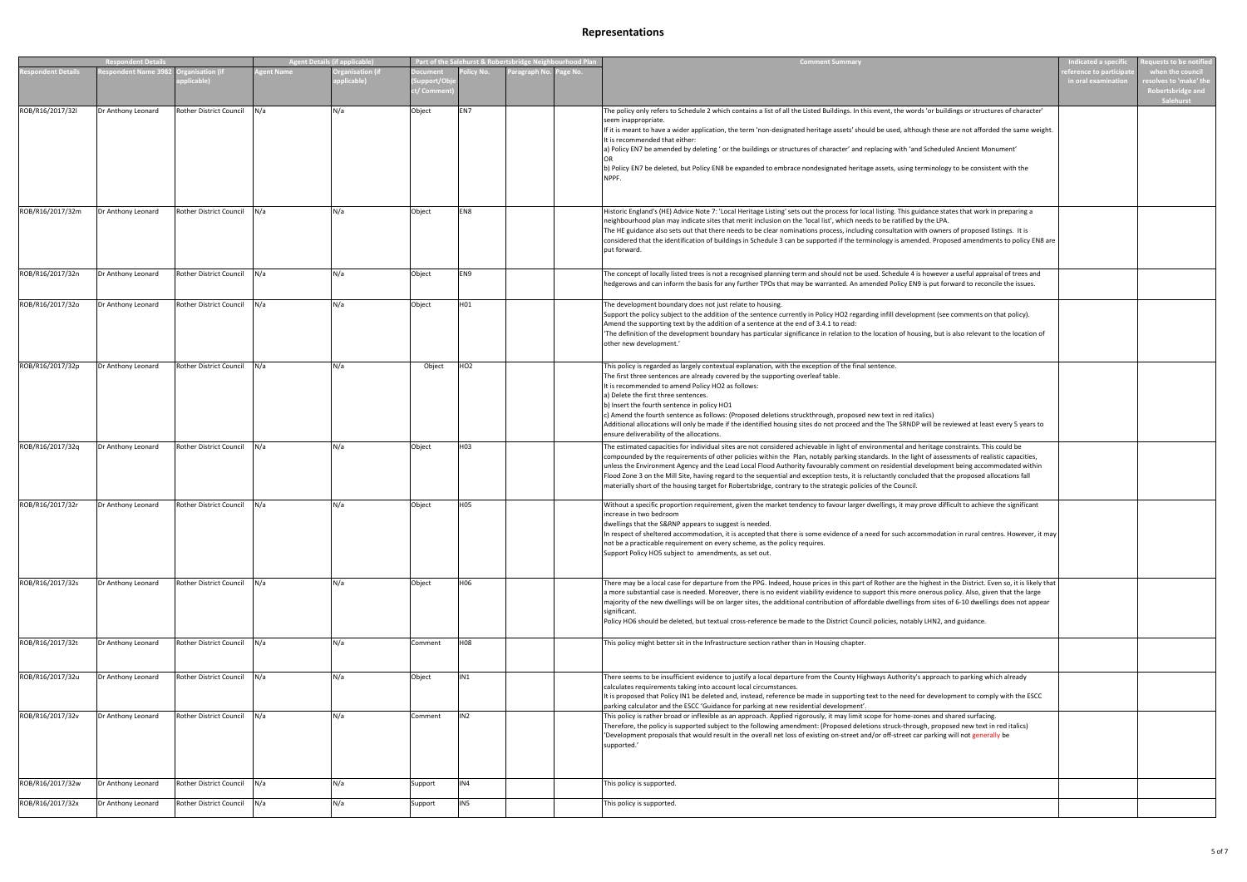|                  | <b>Respondent Details</b> |                                |                  | Agent Details (if applicable)        |                                | Part of the Salehurst & Robertsbridge Neighbourhood Plan |              |          | <b>Comment Summary</b>                                                                                                                                                                                                                                                                                                                                                                                                                                                                                                                                                                                                                                                                                               | ndicated a specif                         | quests to be notified                                                             |
|------------------|---------------------------|--------------------------------|------------------|--------------------------------------|--------------------------------|----------------------------------------------------------|--------------|----------|----------------------------------------------------------------------------------------------------------------------------------------------------------------------------------------------------------------------------------------------------------------------------------------------------------------------------------------------------------------------------------------------------------------------------------------------------------------------------------------------------------------------------------------------------------------------------------------------------------------------------------------------------------------------------------------------------------------------|-------------------------------------------|-----------------------------------------------------------------------------------|
| spondent Details | spondent Name 398         | anisation (if<br>plicable)     | <b>zent Name</b> | <b>Organisation (if</b><br>plicable) | ocument<br>pport/Ol<br>/ Comme | olicy No.                                                | Paragraph No | Page No. |                                                                                                                                                                                                                                                                                                                                                                                                                                                                                                                                                                                                                                                                                                                      | erence to participa<br>in oral examinatio | when the council<br>solves to 'make' the<br>Robertsbridge and<br><b>Salehurst</b> |
| ROB/R16/2017/32l | Dr Anthony Leonard        | Rother District Council        | N/a              | N/a                                  | Object                         | EN7                                                      |              |          | The policy only refers to Schedule 2 which contains a list of all the Listed Buildings. In this event, the words 'or buildings or structures of character'<br>seem inappropriate.<br>If it is meant to have a wider application, the term 'non-designated heritage assets' should be used, although these are not afforded the same weight.<br>It is recommended that either:<br>a) Policy EN7 be amended by deleting ' or the buildings or structures of character' and replacing with 'and Scheduled Ancient Monument'<br>b) Policy EN7 be deleted, but Policy EN8 be expanded to embrace nondesignated heritage assets, using terminology to be consistent with the                                               |                                           |                                                                                   |
| ROB/R16/2017/32m | Dr Anthony Leonard        | <b>Rother District Council</b> | N/a              | N/a                                  | Object                         | EN8                                                      |              |          | Historic England's (HE) Advice Note 7: 'Local Heritage Listing' sets out the process for local listing. This guidance states that work in preparing a<br>neighbourhood plan may indicate sites that merit inclusion on the 'local list', which needs to be ratified by the LPA.<br>The HE guidance also sets out that there needs to be clear nominations process, including consultation with owners of proposed listings. It is<br>considered that the identification of buildings in Schedule 3 can be supported if the terminology is amended. Proposed amendments to policy EN8 are<br>put forward.                                                                                                             |                                           |                                                                                   |
| ROB/R16/2017/32n | Dr Anthony Leonard        | Rother District Council        | lN/a             | N/a                                  | Object                         | EN9                                                      |              |          | The concept of locally listed trees is not a recognised planning term and should not be used. Schedule 4 is however a useful appraisal of trees and<br>hedgerows and can inform the basis for any further TPOs that may be warranted. An amended Policy EN9 is put forward to reconcile the issues.                                                                                                                                                                                                                                                                                                                                                                                                                  |                                           |                                                                                   |
| ROB/R16/2017/32o | Dr Anthony Leonard        | Rother District Council        | N/a              | N/a                                  | Object                         | H01                                                      |              |          | The development boundary does not just relate to housing.<br>Support the policy subject to the addition of the sentence currently in Policy HO2 regarding infill development (see comments on that policy).<br>Amend the supporting text by the addition of a sentence at the end of 3.4.1 to read:<br>'The definition of the development boundary has particular significance in relation to the location of housing, but is also relevant to the location of<br>other new development.'                                                                                                                                                                                                                            |                                           |                                                                                   |
| ROB/R16/2017/32p | Dr Anthony Leonard        | Rother District Council        | N/a              | N/a                                  | Object                         | HO <sub>2</sub>                                          |              |          | This policy is regarded as largely contextual explanation, with the exception of the final sentence.<br>The first three sentences are already covered by the supporting overleaf table.<br>It is recommended to amend Policy HO2 as follows:<br>a) Delete the first three sentences.<br>b) Insert the fourth sentence in policy HO1<br>c) Amend the fourth sentence as follows: (Proposed deletions struckthrough, proposed new text in red italics)<br>Additional allocations will only be made if the identified housing sites do not proceed and the The SRNDP will be reviewed at least every 5 years to<br>ensure deliverability of the allocations.                                                            |                                           |                                                                                   |
| ROB/R16/2017/32q | Dr Anthony Leonard        | Rother District Council        | N/a              | N/a                                  | Object                         | H03                                                      |              |          | The estimated capacities for individual sites are not considered achievable in light of environmental and heritage constraints. This could be<br>compounded by the requirements of other policies within the Plan, notably parking standards. In the light of assessments of realistic capacities,<br>unless the Environment Agency and the Lead Local Flood Authority favourably comment on residential development being accommodated within<br>Flood Zone 3 on the Mill Site, having regard to the sequential and exception tests, it is reluctantly concluded that the proposed allocations fall<br>materially short of the housing target for Robertsbridge, contrary to the strategic policies of the Council. |                                           |                                                                                   |
| ROB/R16/2017/32r | Dr Anthony Leonard        | Rother District Council        | N/a              | N/a                                  | Object                         | H <sub>05</sub>                                          |              |          | Without a specific proportion requirement, given the market tendency to favour larger dwellings, it may prove difficult to achieve the significant<br>increase in two bedroom<br>dwellings that the S&RNP appears to suggest is needed.<br>In respect of sheltered accommodation, it is accepted that there is some evidence of a need for such accommodation in rural centres. However, it may<br>not be a practicable requirement on every scheme, as the policy requires.<br>Support Policy HO5 subject to amendments, as set out.                                                                                                                                                                                |                                           |                                                                                   |
| ROB/R16/2017/32s | Dr Anthony Leonard        | Rother District Council N/a    |                  | N/a                                  | Object                         | H06                                                      |              |          | There may be a local case for departure from the PPG. Indeed, house prices in this part of Rother are the highest in the District. Even so, it is likely that<br>a more substantial case is needed. Moreover, there is no evident viability evidence to support this more onerous policy. Also, given that the large<br>majority of the new dwellings will be on larger sites, the additional contribution of affordable dwellings from sites of 6-10 dwellings does not appear<br>significant.<br>Policy HO6 should be deleted, but textual cross-reference be made to the District Council policies, notably LHN2, and guidance.                                                                                   |                                           |                                                                                   |
| ROB/R16/2017/32t | Dr Anthony Leonard        | Rother District Council N/a    |                  | N/a                                  | Comment                        | <b>H08</b>                                               |              |          | This policy might better sit in the Infrastructure section rather than in Housing chapter.                                                                                                                                                                                                                                                                                                                                                                                                                                                                                                                                                                                                                           |                                           |                                                                                   |
| ROB/R16/2017/32u | Dr Anthony Leonard        | Rother District Council N/a    |                  | N/a                                  | Object                         | IN1                                                      |              |          | There seems to be insufficient evidence to justify a local departure from the County Highways Authority's approach to parking which already<br>calculates requirements taking into account local circumstances.<br>It is proposed that Policy IN1 be deleted and, instead, reference be made in supporting text to the need for development to comply with the ESCC<br>parking calculator and the ESCC 'Guidance for parking at new residential development'.                                                                                                                                                                                                                                                        |                                           |                                                                                   |
| ROB/R16/2017/32v | Dr Anthony Leonard        | Rother District Council N/a    |                  | N/a                                  | Comment                        | IN <sub>2</sub>                                          |              |          | This policy is rather broad or inflexible as an approach. Applied rigorously, it may limit scope for home-zones and shared surfacing.<br>Therefore, the policy is supported subject to the following amendment: (Proposed deletions struck-through, proposed new text in red italics)<br>'Development proposals that would result in the overall net loss of existing on-street and/or off-street car parking will not generally be<br>supported.'                                                                                                                                                                                                                                                                   |                                           |                                                                                   |
| ROB/R16/2017/32w | Dr Anthony Leonard        | Rother District Council N/a    |                  | N/a                                  | Support                        | IN4                                                      |              |          | This policy is supported.                                                                                                                                                                                                                                                                                                                                                                                                                                                                                                                                                                                                                                                                                            |                                           |                                                                                   |
| ROB/R16/2017/32x | Dr Anthony Leonard        | Rother District Council        | N/a              | N/a                                  | Support                        | IN <sub>5</sub>                                          |              |          | This policy is supported.                                                                                                                                                                                                                                                                                                                                                                                                                                                                                                                                                                                                                                                                                            |                                           |                                                                                   |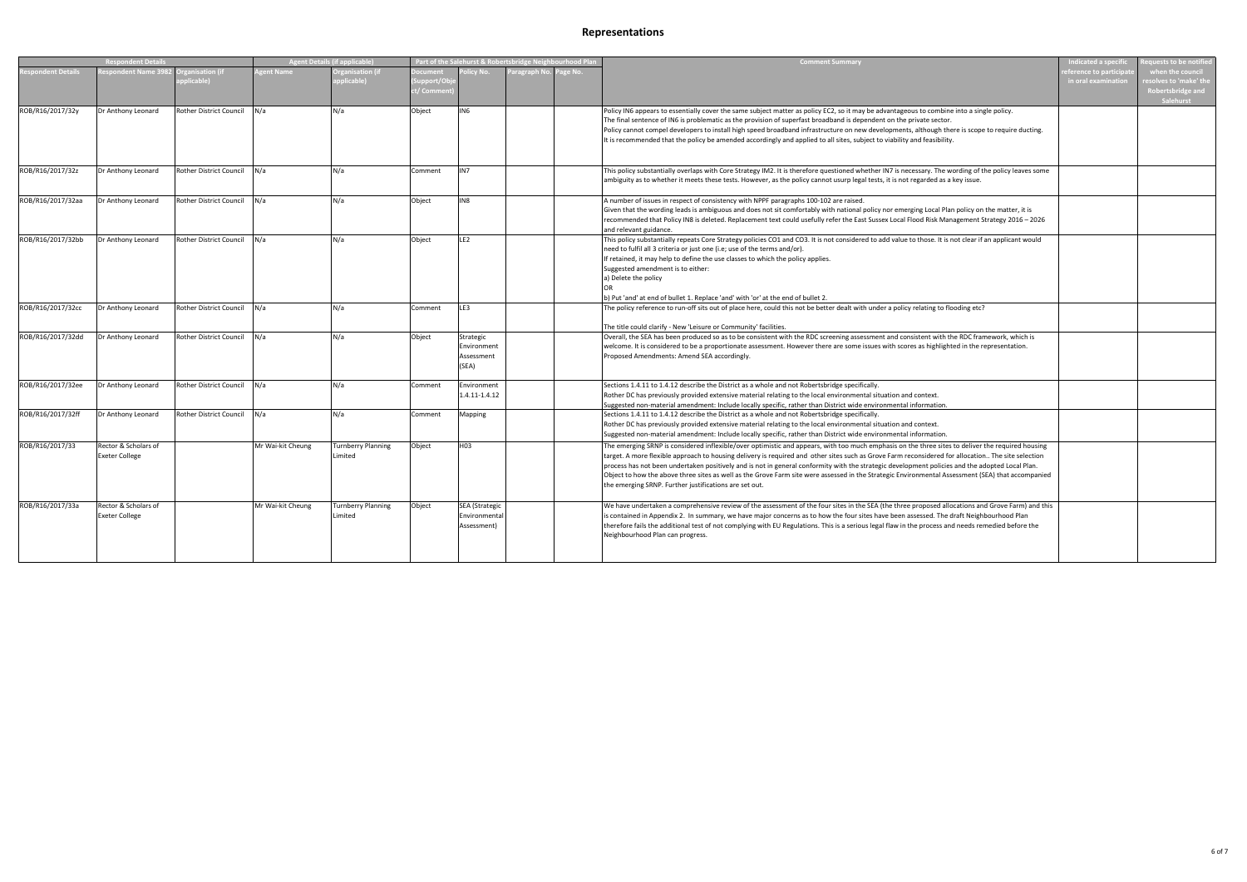| <b>Respondent Details</b> |                                      | <b>Agent Details (if applicable)</b> |                   | Part of the Salehurst & Robertsbridge Neighbourhood Plan |           |                       | <b>Comment Summary</b>  | <b>Indicated a specific</b>                                                                                                                             | quests to be not <u>ified</u> |                       |
|---------------------------|--------------------------------------|--------------------------------------|-------------------|----------------------------------------------------------|-----------|-----------------------|-------------------------|---------------------------------------------------------------------------------------------------------------------------------------------------------|-------------------------------|-----------------------|
| spondent Details          | espondent Name 3982 Organisation (if |                                      | <b>zent Name</b>  | rganisation (if                                          | ocument   | olicy No.             | aragraph No.<br>age No. |                                                                                                                                                         | ference to participa          | when the council      |
|                           |                                      | plicable)                            |                   | plicable)                                                | upport/Ok |                       |                         |                                                                                                                                                         | in oral examination           | esolves to 'make' the |
|                           |                                      |                                      |                   |                                                          | / Commє   |                       |                         |                                                                                                                                                         |                               | Robertsbridge and     |
|                           |                                      |                                      |                   |                                                          |           |                       |                         |                                                                                                                                                         |                               | <b>Salehurst</b>      |
| ROB/R16/2017/32y          | Dr Anthony Leonard                   | Rother District Council              | N/a               | N/a                                                      | Object    | IN <sub>6</sub>       |                         | Policy IN6 appears to essentially cover the same subject matter as policy EC2, so it may be advantageous to combine into a single policy.               |                               |                       |
|                           |                                      |                                      |                   |                                                          |           |                       |                         | The final sentence of IN6 is problematic as the provision of superfast broadband is dependent on the private sector.                                    |                               |                       |
|                           |                                      |                                      |                   |                                                          |           |                       |                         | Policy cannot compel developers to install high speed broadband infrastructure on new developments, although there is scope to require ducting.         |                               |                       |
|                           |                                      |                                      |                   |                                                          |           |                       |                         | It is recommended that the policy be amended accordingly and applied to all sites, subject to viability and feasibility.                                |                               |                       |
|                           |                                      |                                      |                   |                                                          |           |                       |                         |                                                                                                                                                         |                               |                       |
|                           |                                      |                                      |                   |                                                          |           |                       |                         |                                                                                                                                                         |                               |                       |
| ROB/R16/2017/32z          |                                      | Rother District Council              | N/a               | N/a                                                      |           | IN <sub>7</sub>       |                         | This policy substantially overlaps with Core Strategy IM2. It is therefore questioned whether IN7 is necessary. The wording of the policy leaves some   |                               |                       |
|                           | Dr Anthony Leonard                   |                                      |                   |                                                          | Comment   |                       |                         |                                                                                                                                                         |                               |                       |
|                           |                                      |                                      |                   |                                                          |           |                       |                         | ambiguity as to whether it meets these tests. However, as the policy cannot usurp legal tests, it is not regarded as a key issue.                       |                               |                       |
|                           |                                      |                                      |                   |                                                          |           |                       |                         |                                                                                                                                                         |                               |                       |
| ROB/R16/2017/32aa         | Dr Anthony Leonard                   | Rother District Council N/a          |                   | N/a                                                      | Object    | IN8                   |                         | A number of issues in respect of consistency with NPPF paragraphs 100-102 are raised.                                                                   |                               |                       |
|                           |                                      |                                      |                   |                                                          |           |                       |                         | Given that the wording leads is ambiguous and does not sit comfortably with national policy nor emerging Local Plan policy on the matter, it is         |                               |                       |
|                           |                                      |                                      |                   |                                                          |           |                       |                         | recommended that Policy IN8 is deleted. Replacement text could usefully refer the East Sussex Local Flood Risk Management Strategy 2016 - 2026          |                               |                       |
|                           |                                      |                                      |                   |                                                          |           |                       |                         | and relevant guidance.                                                                                                                                  |                               |                       |
| ROB/R16/2017/32bb         | Dr Anthony Leonard                   | Rother District Council N/a          |                   | N/a                                                      | Object    | LE <sub>2</sub>       |                         | This policy substantially repeats Core Strategy policies CO1 and CO3. It is not considered to add value to those. It is not clear if an applicant would |                               |                       |
|                           |                                      |                                      |                   |                                                          |           |                       |                         | need to fulfil all 3 criteria or just one (i.e; use of the terms and/or).                                                                               |                               |                       |
|                           |                                      |                                      |                   |                                                          |           |                       |                         | If retained, it may help to define the use classes to which the policy applies.                                                                         |                               |                       |
|                           |                                      |                                      |                   |                                                          |           |                       |                         | Suggested amendment is to either:                                                                                                                       |                               |                       |
|                           |                                      |                                      |                   |                                                          |           |                       |                         | a) Delete the policy                                                                                                                                    |                               |                       |
|                           |                                      |                                      |                   |                                                          |           |                       |                         |                                                                                                                                                         |                               |                       |
|                           |                                      |                                      |                   |                                                          |           |                       |                         | b) Put 'and' at end of bullet 1. Replace 'and' with 'or' at the end of bullet 2.                                                                        |                               |                       |
| ROB/R16/2017/32cc         | Dr Anthony Leonard                   | <b>Rother District Council</b>       | N/a               | N/a                                                      | Comment   | LE3                   |                         | The policy reference to run-off sits out of place here, could this not be better dealt with under a policy relating to flooding etc?                    |                               |                       |
|                           |                                      |                                      |                   |                                                          |           |                       |                         |                                                                                                                                                         |                               |                       |
|                           |                                      |                                      |                   |                                                          |           |                       |                         | The title could clarify - New 'Leisure or Community' facilities.                                                                                        |                               |                       |
| ROB/R16/2017/32dd         | Dr Anthony Leonard                   | Rother District Council              | N/a               | N/a                                                      | Object    | Strategic             |                         | Overall, the SEA has been produced so as to be consistent with the RDC screening assessment and consistent with the RDC framework, which is             |                               |                       |
|                           |                                      |                                      |                   |                                                          |           | Environment           |                         | welcome. It is considered to be a proportionate assessment. However there are some issues with scores as highlighted in the representation.             |                               |                       |
|                           |                                      |                                      |                   |                                                          |           | Assessment            |                         | Proposed Amendments: Amend SEA accordingly.                                                                                                             |                               |                       |
|                           |                                      |                                      |                   |                                                          |           | (SEA)                 |                         |                                                                                                                                                         |                               |                       |
|                           |                                      |                                      |                   |                                                          |           |                       |                         |                                                                                                                                                         |                               |                       |
| ROB/R16/2017/32ee         | Dr Anthony Leonard                   | <b>Rother District Council</b>       | N/a               | N/a                                                      | Comment   | Environment           |                         | Sections 1.4.11 to 1.4.12 describe the District as a whole and not Robertsbridge specifically.                                                          |                               |                       |
|                           |                                      |                                      |                   |                                                          |           | 1.4.11-1.4.12         |                         | Rother DC has previously provided extensive material relating to the local environmental situation and context.                                         |                               |                       |
|                           |                                      |                                      |                   |                                                          |           |                       |                         | Suggested non-material amendment: Include locally specific, rather than District wide environmental information.                                        |                               |                       |
| ROB/R16/2017/32ff         | Dr Anthony Leonard                   | Rother District Council N/a          |                   | N/a                                                      | Comment   | Mapping               |                         | Sections 1.4.11 to 1.4.12 describe the District as a whole and not Robertsbridge specifically.                                                          |                               |                       |
|                           |                                      |                                      |                   |                                                          |           |                       |                         | Rother DC has previously provided extensive material relating to the local environmental situation and context.                                         |                               |                       |
|                           |                                      |                                      |                   |                                                          |           |                       |                         | Suggested non-material amendment: Include locally specific, rather than District wide environmental information.                                        |                               |                       |
|                           |                                      |                                      |                   |                                                          |           |                       |                         |                                                                                                                                                         |                               |                       |
| ROB/R16/2017/33           | Rector & Scholars of                 |                                      | Mr Wai-kit Cheung | <b>Turnberry Planning</b>                                | Object    | H03                   |                         | The emerging SRNP is considered inflexible/over optimistic and appears, with too much emphasis on the three sites to deliver the required housing       |                               |                       |
|                           | <b>Exeter College</b>                |                                      |                   | Limited                                                  |           |                       |                         | target. A more flexible approach to housing delivery is required and other sites such as Grove Farm reconsidered for allocation The site selection      |                               |                       |
|                           |                                      |                                      |                   |                                                          |           |                       |                         | process has not been undertaken positively and is not in general conformity with the strategic development policies and the adopted Local Plan.         |                               |                       |
|                           |                                      |                                      |                   |                                                          |           |                       |                         | Object to how the above three sites as well as the Grove Farm site were assessed in the Strategic Environmental Assessment (SEA) that accompanied       |                               |                       |
|                           |                                      |                                      |                   |                                                          |           |                       |                         | the emerging SRNP. Further justifications are set out.                                                                                                  |                               |                       |
|                           |                                      |                                      |                   |                                                          |           |                       |                         |                                                                                                                                                         |                               |                       |
| ROB/R16/2017/33a          | Rector & Scholars of                 |                                      | Mr Wai-kit Cheung | <b>Turnberry Planning</b>                                | Object    | <b>SEA (Strategic</b> |                         | We have undertaken a comprehensive review of the assessment of the four sites in the SEA (the three proposed allocations and Grove Farm) and this       |                               |                       |
|                           | <b>Exeter College</b>                |                                      |                   | Limited                                                  |           | Environmental         |                         | s contained in Appendix 2. In summary, we have major concerns as to how the four sites have been assessed. The draft Neighbourhood Plan                 |                               |                       |
|                           |                                      |                                      |                   |                                                          |           | Assessment)           |                         | therefore fails the additional test of not complying with EU Regulations. This is a serious legal flaw in the process and needs remedied before the     |                               |                       |
|                           |                                      |                                      |                   |                                                          |           |                       |                         | Neighbourhood Plan can progress.                                                                                                                        |                               |                       |
|                           |                                      |                                      |                   |                                                          |           |                       |                         |                                                                                                                                                         |                               |                       |
|                           |                                      |                                      |                   |                                                          |           |                       |                         |                                                                                                                                                         |                               |                       |